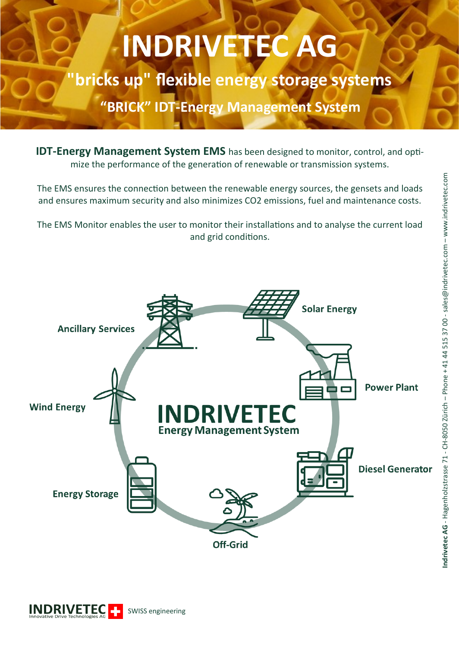## **INDRIVETEC AG**

**"bricks up" flexible energy storage systems**

**"BRICK" IDT-Energy Management System**

**IDT-Energy Management System EMS** has been designed to monitor, control, and optimize the performance of the generation of renewable or transmission systems.

The EMS ensures the connection between the renewable energy sources, the gensets and loads and ensures maximum security and also minimizes CO2 emissions, fuel and maintenance costs.

The EMS Monitor enables the user to monitor their installations and to analyse the current load and grid conditions.